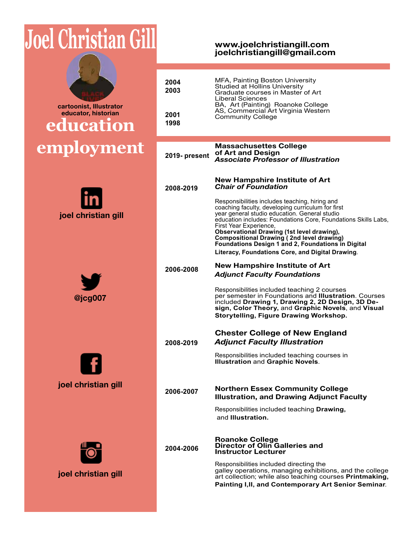# **Joel Christian Gill**







**joel christian gill**



**joel christian gill**

**www.joelchristiangill.com joelchristiangill@gmail.com**

| 2004<br>2003  | MFA, Painting Boston University<br>Studied at Hollins University<br>Graduate courses in Master of Art<br>Liberal Sciences<br>BA, Art (Painting) Roanoke College                                                                                                                                                                                                                                                                                                     |
|---------------|---------------------------------------------------------------------------------------------------------------------------------------------------------------------------------------------------------------------------------------------------------------------------------------------------------------------------------------------------------------------------------------------------------------------------------------------------------------------|
| 2001<br>1998  | AS, Commercial Art Virginia Western<br><b>Community College</b>                                                                                                                                                                                                                                                                                                                                                                                                     |
| 2019- present | <b>Massachusettes College</b><br>of Art and Design<br><b>Associate Professor of Illustration</b>                                                                                                                                                                                                                                                                                                                                                                    |
| 2008-2019     | <b>New Hampshire Institute of Art</b><br><b>Chair of Foundation</b>                                                                                                                                                                                                                                                                                                                                                                                                 |
|               | Responsibilities includes teaching, hiring and<br>coaching faculty, developing curriculum for first<br>year general studio education. General studio<br>education includes: Foundations Core, Foundations Skills Labs,<br>First Year Experience,<br><b>Observational Drawing (1st level drawing),</b><br><b>Compositional Drawing (2nd level drawing)</b><br>Foundations Design 1 and 2, Foundations in Digital<br>Literacy, Foundations Core, and Digital Drawing. |
| 2006-2008     | <b>New Hampshire Institute of Art</b><br><b>Adjunct Faculty Foundations</b>                                                                                                                                                                                                                                                                                                                                                                                         |
|               | Responsibilities included teaching 2 courses<br>per semester in Foundations and Illustration. Courses<br>included Drawing 1, Drawing 2, 2D Design, 3D De-<br>sign, Color Theory, and Graphic Novels, and Visual<br>Storytelling, Figure Drawing Workshop.                                                                                                                                                                                                           |
| 2008-2019     | <b>Chester College of New England</b><br><b>Adjunct Faculty Illustration</b>                                                                                                                                                                                                                                                                                                                                                                                        |
|               | Responsibilities included teaching courses in<br><b>Illustration and Graphic Novels.</b>                                                                                                                                                                                                                                                                                                                                                                            |
| 2006-2007     | <b>Northern Essex Community College</b><br><b>Illustration, and Drawing Adjunct Faculty</b>                                                                                                                                                                                                                                                                                                                                                                         |
|               | Responsibilities included teaching Drawing,<br>and Illustration.                                                                                                                                                                                                                                                                                                                                                                                                    |
| 2004-2006     | <b>Roanoke College</b><br>Director of Olin Galleries and<br><b>Instructor Lecturer</b>                                                                                                                                                                                                                                                                                                                                                                              |
|               | Responsibilities included directing the<br>galley operations, managing exhibitions, and the college<br>art collection; while also teaching courses Printmaking,<br>Painting I, II, and Contemporary Art Senior Seminar.                                                                                                                                                                                                                                             |